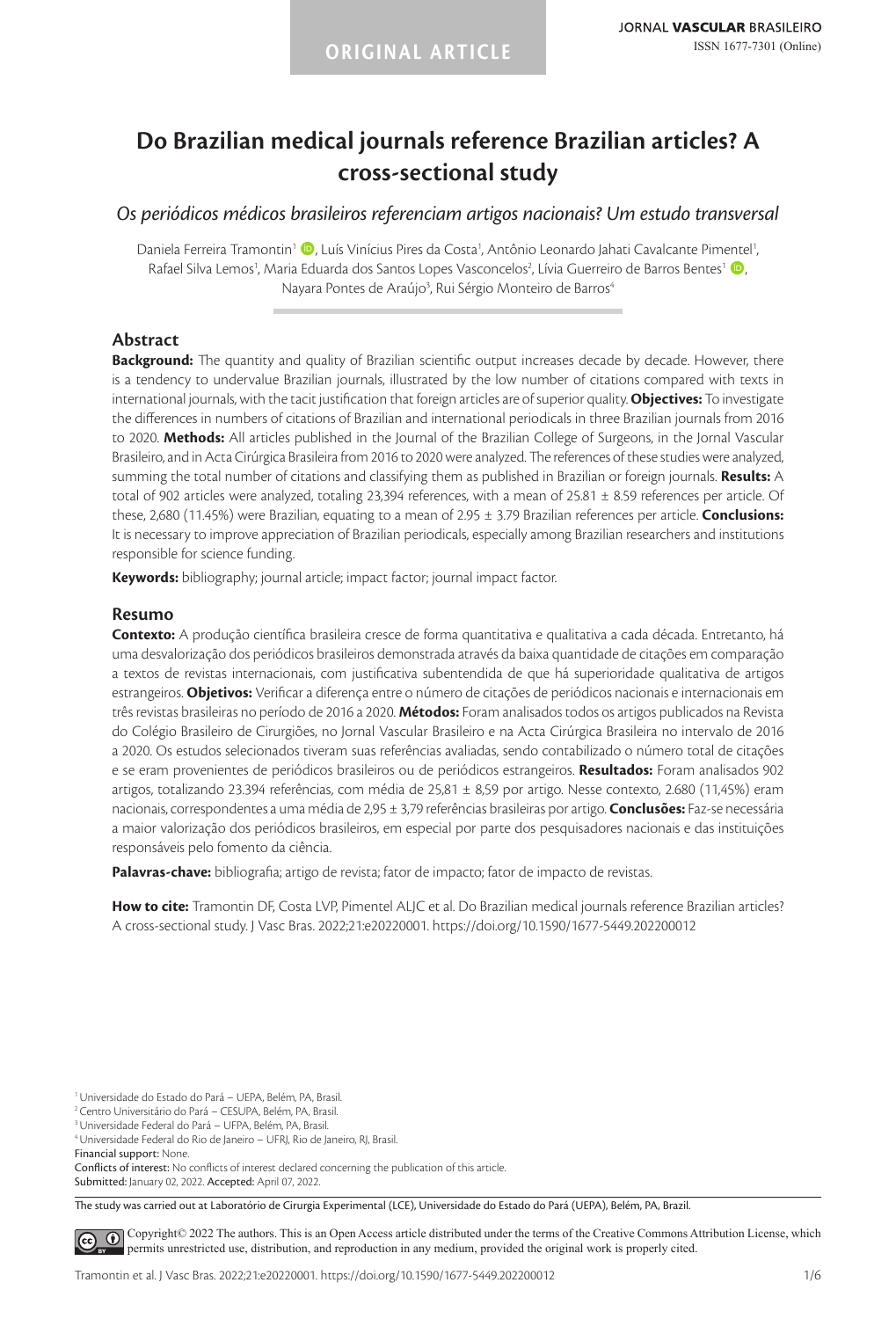# **Do Brazilian medical journals reference Brazilian articles? A cross-sectional study**

*Os periódicos médicos brasileiros referenciam artigos nacionais? Um estudo transversal*

Daniela Ferreira Tramontin<sup>1</sup> (D), Luís Vinícius Pires da Costa<sup>1</sup>, Antônio Leonardo Jahati Cavalcante Pimentel<sup>1</sup>, Rafael Silva Lemos<sup>1</sup>, Maria Eduarda dos Santos Lopes Vasconcelos<sup>2</sup>, Lívia Guerreiro de Barros Bentes<sup>1</sup> (D, Nayara Pontes de Araújo<sup>3</sup>, Rui Sérgio Monteiro de Barros<sup>4</sup>

# **Abstract**

**Background:** The quantity and quality of Brazilian scientific output increases decade by decade. However, there is a tendency to undervalue Brazilian journals, illustrated by the low number of citations compared with texts in international journals, with the tacit justification that foreign articles are of superior quality. **Objectives:** To investigate the differences in numbers of citations of Brazilian and international periodicals in three Brazilian journals from 2016 to 2020. **Methods:** All articles published in the Journal of the Brazilian College of Surgeons, in the Jornal Vascular Brasileiro, and in Acta Cirúrgica Brasileira from 2016 to 2020 were analyzed. The references of these studies were analyzed, summing the total number of citations and classifying them as published in Brazilian or foreign journals. **Results:** A total of 902 articles were analyzed, totaling 23,394 references, with a mean of 25.81  $\pm$  8.59 references per article. Of these, 2,680 (11.45%) were Brazilian, equating to a mean of 2.95 ± 3.79 Brazilian references per article. **Conclusions:** It is necessary to improve appreciation of Brazilian periodicals, especially among Brazilian researchers and institutions responsible for science funding.

**Keywords:** bibliography; journal article; impact factor; journal impact factor.

#### **Resumo**

**Contexto:** A produção científica brasileira cresce de forma quantitativa e qualitativa a cada década. Entretanto, há uma desvalorização dos periódicos brasileiros demonstrada através da baixa quantidade de citações em comparação a textos de revistas internacionais, com justificativa subentendida de que há superioridade qualitativa de artigos estrangeiros. **Objetivos:** Verificar a diferença entre o número de citações de periódicos nacionais e internacionais em três revistas brasileiras no período de 2016 a 2020. **Métodos:** Foram analisados todos os artigos publicados na Revista do Colégio Brasileiro de Cirurgiões, no Jornal Vascular Brasileiro e na Acta Cirúrgica Brasileira no intervalo de 2016 a 2020. Os estudos selecionados tiveram suas referências avaliadas, sendo contabilizado o número total de citações e se eram provenientes de periódicos brasileiros ou de periódicos estrangeiros. **Resultados:** Foram analisados 902 artigos, totalizando 23.394 referências, com média de 25,81 ± 8,59 por artigo. Nesse contexto, 2.680 (11,45%) eram nacionais, correspondentes a uma média de 2,95 ± 3,79 referências brasileiras por artigo. **Conclusões:** Faz-se necessária a maior valorização dos periódicos brasileiros, em especial por parte dos pesquisadores nacionais e das instituições responsáveis pelo fomento da ciência.

**Palavras-chave:** bibliografia; artigo de revista; fator de impacto; fator de impacto de revistas.

**How to cite:** Tramontin DF, Costa LVP, Pimentel ALJC et al. Do Brazilian medical journals reference Brazilian articles? A cross-sectional study. J Vasc Bras. 2022;21:e20220001. https://doi.org/10.1590/1677-5449.202200012

Submitted: January 02, 2022. Accepted: April 07, 2022.

The study was carried out at Laboratório de Cirurgia Experimental (LCE), Universidade do Estado do Pará (UEPA), Belém, PA, Brazil.

[C](https://creativecommons.org/licenses/by/4.0/)opyright© 2022 The authors. This is an Open Access article distributed under the terms of the Creative Commons Attribution License, which  $\left( \infty \right)$ permits unrestricted use, distribution, and reproduction in any medium, provided the original work is properly cited.

<sup>1</sup>Universidade do Estado do Pará – UEPA, Belém, PA, Brasil.

<sup>2</sup> Centro Universitário do Pará – CESUPA, Belém, PA, Brasil.

<sup>3</sup>Universidade Federal do Pará – UFPA, Belém, PA, Brasil.

<sup>4</sup>Universidade Federal do Rio de Janeiro – UFRJ, Rio de Janeiro, RJ, Brasil.

Financial support: None.

Conflicts of interest: No conflicts of interest declared concerning the publication of this article.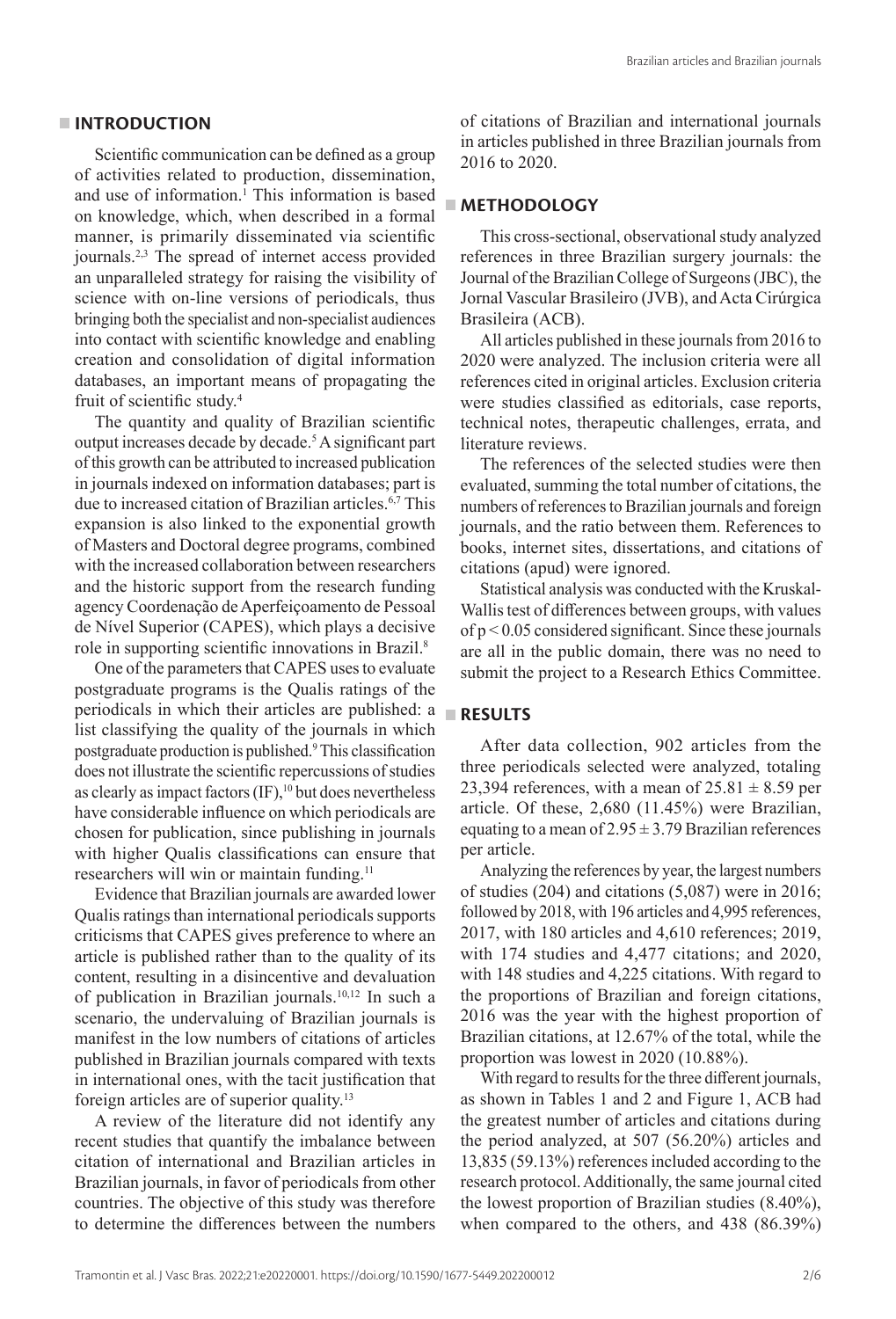#### **INTRODUCTION**

Scientific communication can be defined as a group of activities related to production, dissemination, and use of information.<sup>1</sup> This information is based on knowledge, which, when described in a formal manner, is primarily disseminated via scientific journals.2,3 The spread of internet access provided an unparalleled strategy for raising the visibility of science with on-line versions of periodicals, thus bringing both the specialist and non-specialist audiences into contact with scientific knowledge and enabling creation and consolidation of digital information databases, an important means of propagating the fruit of scientific study.<sup>4</sup>

The quantity and quality of Brazilian scientific output increases decade by decade.<sup>5</sup> A significant part of this growth can be attributed to increased publication in journals indexed on information databases; part is due to increased citation of Brazilian articles.6,7 This expansion is also linked to the exponential growth of Masters and Doctoral degree programs, combined with the increased collaboration between researchers and the historic support from the research funding agency Coordenação de Aperfeiçoamento de Pessoal de Nível Superior (CAPES), which plays a decisive role in supporting scientific innovations in Brazil.<sup>8</sup>

One of the parameters that CAPES uses to evaluate postgraduate programs is the Qualis ratings of the periodicals in which their articles are published: a list classifying the quality of the journals in which postgraduate production is published.9 This classification does not illustrate the scientific repercussions of studies as clearly as impact factors  $(\text{IF})$ ,<sup>10</sup> but does nevertheless have considerable influence on which periodicals are chosen for publication, since publishing in journals with higher Qualis classifications can ensure that researchers will win or maintain funding.<sup>11</sup>

Evidence that Brazilian journals are awarded lower Qualis ratings than international periodicals supports criticisms that CAPES gives preference to where an article is published rather than to the quality of its content, resulting in a disincentive and devaluation of publication in Brazilian journals.<sup>10,12</sup> In such a scenario, the undervaluing of Brazilian journals is manifest in the low numbers of citations of articles published in Brazilian journals compared with texts in international ones, with the tacit justification that foreign articles are of superior quality.13

A review of the literature did not identify any recent studies that quantify the imbalance between citation of international and Brazilian articles in Brazilian journals, in favor of periodicals from other countries. The objective of this study was therefore to determine the differences between the numbers

of citations of Brazilian and international journals in articles published in three Brazilian journals from 2016 to 2020.

## **METHODOLOGY**

This cross-sectional, observational study analyzed references in three Brazilian surgery journals: the Journal of the Brazilian College of Surgeons (JBC), the Jornal Vascular Brasileiro (JVB), and Acta Cirúrgica Brasileira (ACB).

All articles published in these journals from 2016 to 2020 were analyzed. The inclusion criteria were all references cited in original articles. Exclusion criteria were studies classified as editorials, case reports, technical notes, therapeutic challenges, errata, and literature reviews.

The references of the selected studies were then evaluated, summing the total number of citations, the numbers of references to Brazilian journals and foreign journals, and the ratio between them. References to books, internet sites, dissertations, and citations of citations (apud) were ignored.

Statistical analysis was conducted with the Kruskal-Wallis test of differences between groups, with values of p < 0.05 considered significant. Since these journals are all in the public domain, there was no need to submit the project to a Research Ethics Committee.

# **RESULTS**

After data collection, 902 articles from the three periodicals selected were analyzed, totaling 23,394 references, with a mean of  $25.81 \pm 8.59$  per article. Of these, 2,680 (11.45%) were Brazilian, equating to a mean of  $2.95 \pm 3.79$  Brazilian references per article.

Analyzing the references by year, the largest numbers of studies (204) and citations (5,087) were in 2016; followed by 2018, with 196 articles and 4,995 references, 2017, with 180 articles and 4,610 references; 2019, with 174 studies and 4,477 citations; and 2020, with 148 studies and 4,225 citations. With regard to the proportions of Brazilian and foreign citations, 2016 was the year with the highest proportion of Brazilian citations, at 12.67% of the total, while the proportion was lowest in 2020 (10.88%).

With regard to results for the three different journals, as shown in Tables 1 and 2 and Figure 1, ACB had the greatest number of articles and citations during the period analyzed, at 507 (56.20%) articles and 13,835 (59.13%) references included according to the research protocol. Additionally, the same journal cited the lowest proportion of Brazilian studies (8.40%), when compared to the others, and 438 (86.39%)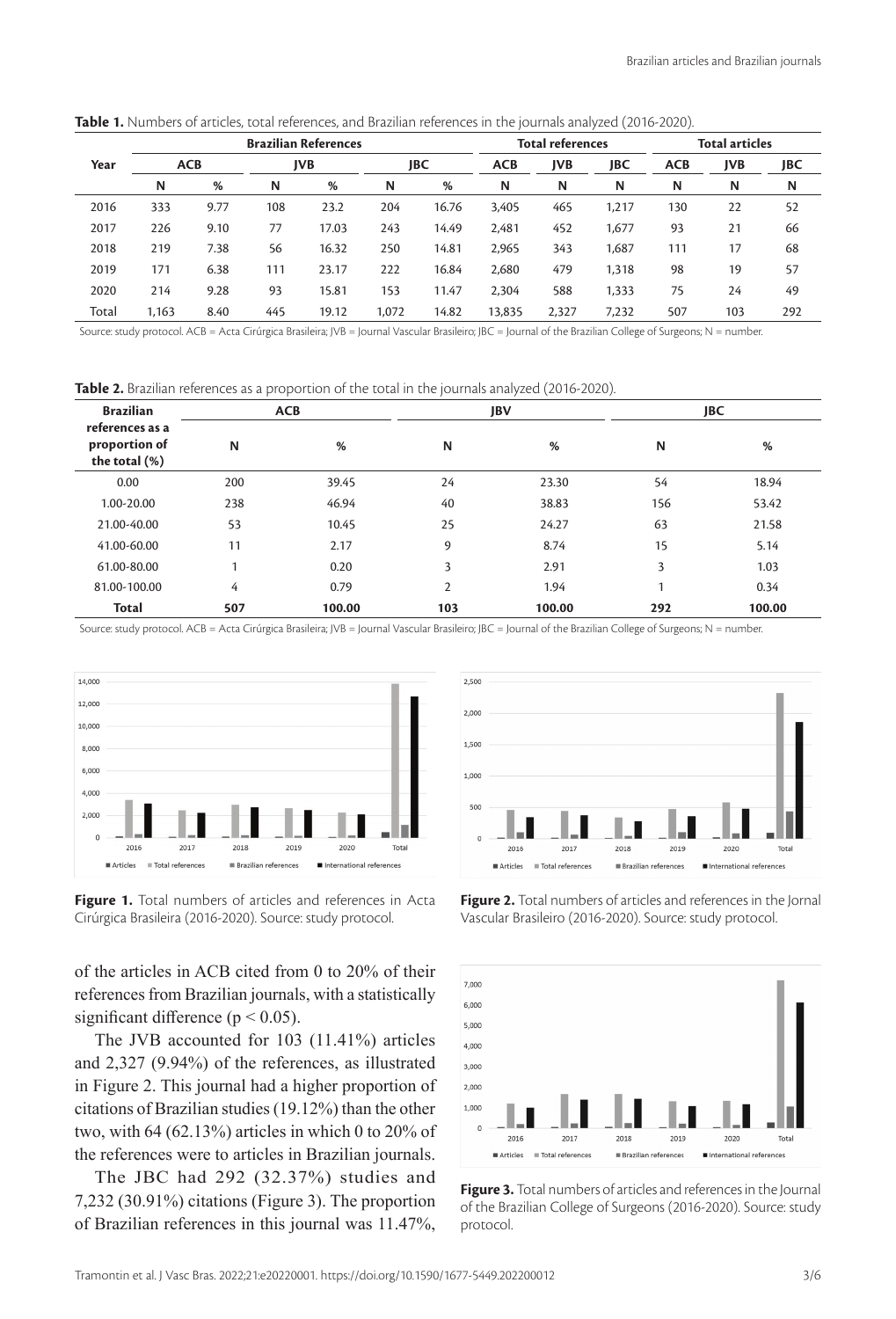|       | <b>Brazilian References</b> |      |            |       |       |       | <b>Total references</b> |            |       | Total articles |            |     |
|-------|-----------------------------|------|------------|-------|-------|-------|-------------------------|------------|-------|----------------|------------|-----|
| Year  | <b>ACB</b>                  |      | <b>JVB</b> |       | JBC   |       | <b>ACB</b>              | <b>JVB</b> | JBC   | <b>ACB</b>     | <b>JVB</b> | JBC |
|       | N                           | %    | N          | %     | N     | %     | N                       | N          | N     | N              | N          | N   |
| 2016  | 333                         | 9.77 | 108        | 23.2  | 204   | 16.76 | 3,405                   | 465        | 1.217 | 130            | 22         | 52  |
| 2017  | 226                         | 9.10 | 77         | 17.03 | 243   | 14.49 | 2,481                   | 452        | 1,677 | 93             | 21         | 66  |
| 2018  | 219                         | 7.38 | 56         | 16.32 | 250   | 14.81 | 2,965                   | 343        | 1.687 | 111            | 17         | 68  |
| 2019  | 171                         | 6.38 | 111        | 23.17 | 222   | 16.84 | 2,680                   | 479        | 1,318 | 98             | 19         | 57  |
| 2020  | 214                         | 9.28 | 93         | 15.81 | 153   | 11.47 | 2,304                   | 588        | 1,333 | 75             | 24         | 49  |
| Total | 1.163                       | 8.40 | 445        | 19.12 | 1,072 | 14.82 | 13,835                  | 2,327      | 7.232 | 507            | 103        | 292 |

**Table 1.** Numbers of articles, total references, and Brazilian references in the journals analyzed (2016-2020).

Source: study protocol. ACB = Acta Cirúrgica Brasileira; JVB = Journal Vascular Brasileiro; JBC = Journal of the Brazilian College of Surgeons; N = number

**Table 2.** Brazilian references as a proportion of the total in the journals analyzed (2016-2020).

| <b>Brazilian</b>                                  |     | <b>ACB</b> |                | JBV    | <b>JBC</b> |        |  |
|---------------------------------------------------|-----|------------|----------------|--------|------------|--------|--|
| references as a<br>proportion of<br>the total (%) | N   | %          | N              | %      | N          | %      |  |
| 0.00                                              | 200 | 39.45      | 24             | 23.30  | 54         | 18.94  |  |
| 1.00-20.00                                        | 238 | 46.94      | 40             | 38.83  | 156        | 53.42  |  |
| 21.00-40.00                                       | 53  | 10.45      | 25             | 24.27  | 63         | 21.58  |  |
| 41.00-60.00                                       | 11  | 2.17       | 9              | 8.74   | 15         | 5.14   |  |
| 61.00-80.00                                       | 1   | 0.20       | 3              | 2.91   | 3          | 1.03   |  |
| 81.00-100.00                                      | 4   | 0.79       | $\overline{2}$ | 1.94   | 1          | 0.34   |  |
| <b>Total</b>                                      | 507 | 100.00     | 103            | 100.00 | 292        | 100.00 |  |

Source: study protocol. ACB = Acta Cirúrgica Brasileira; JVB = Journal Vascular Brasileiro; JBC = Journal of the Brazilian College of Surgeons; N = number.



**Figure 1.** Total numbers of articles and references in Acta Cirúrgica Brasileira (2016-2020). Source: study protocol.

of the articles in ACB cited from 0 to 20% of their references from Brazilian journals, with a statistically significant difference ( $p < 0.05$ ).

The JVB accounted for 103 (11.41%) articles and 2,327 (9.94%) of the references, as illustrated in Figure 2. This journal had a higher proportion of citations of Brazilian studies (19.12%) than the other two, with 64 (62.13%) articles in which 0 to 20% of the references were to articles in Brazilian journals.

The JBC had 292 (32.37%) studies and 7,232 (30.91%) citations (Figure 3). The proportion of Brazilian references in this journal was 11.47%,



**Figure 2.** Total numbers of articles and references in the Jornal Vascular Brasileiro (2016-2020). Source: study protocol.



**Figure 3.** Total numbers of articles and references in the Journal of the Brazilian College of Surgeons (2016-2020). Source: study protocol.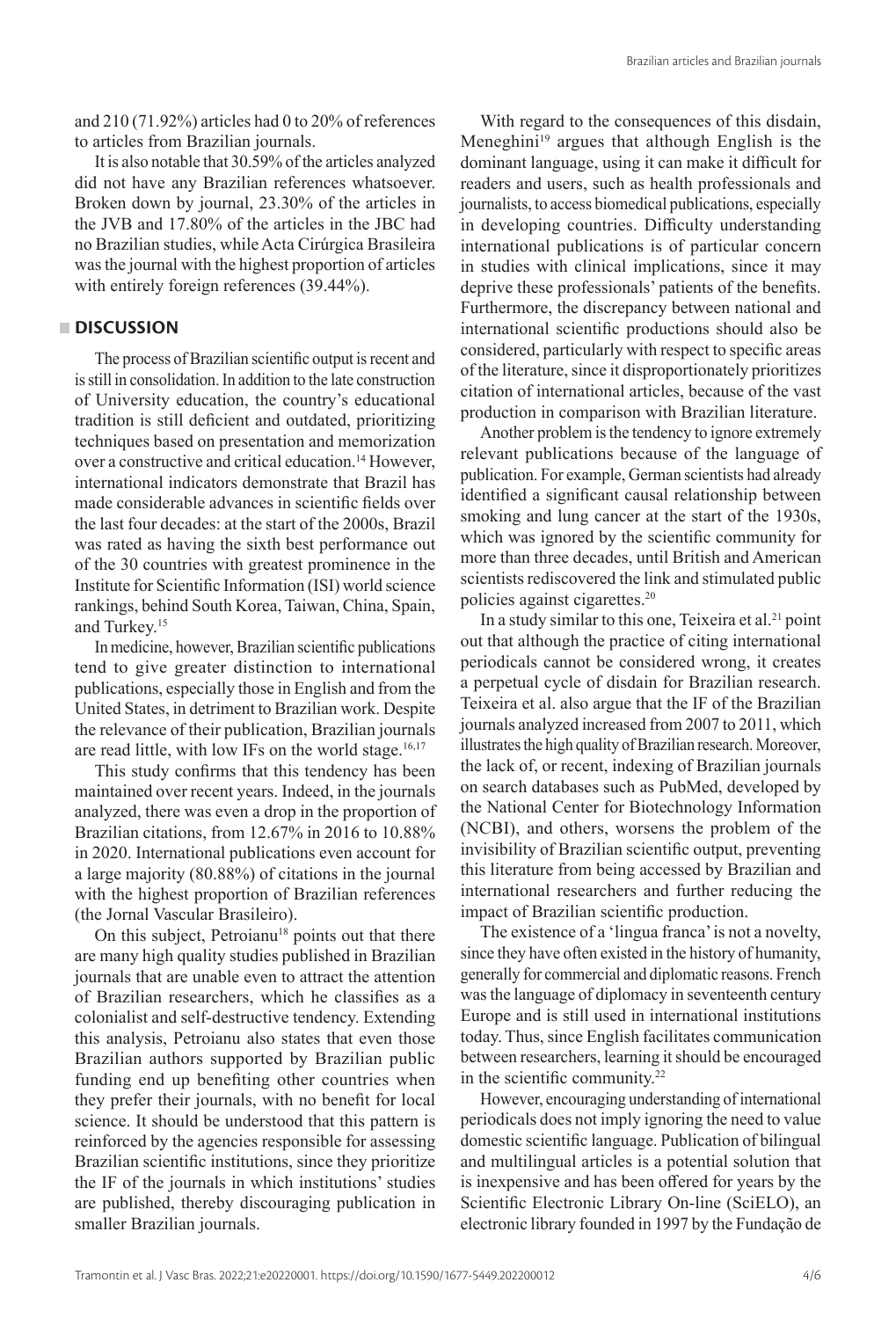and 210 (71.92%) articles had 0 to 20% of references to articles from Brazilian journals.

It is also notable that 30.59% of the articles analyzed did not have any Brazilian references whatsoever. Broken down by journal, 23.30% of the articles in the JVB and 17.80% of the articles in the JBC had no Brazilian studies, while Acta Cirúrgica Brasileira was the journal with the highest proportion of articles with entirely foreign references (39.44%).

# **DISCUSSION**

The process of Brazilian scientific output is recent and is still in consolidation. In addition to the late construction of University education, the country's educational tradition is still deficient and outdated, prioritizing techniques based on presentation and memorization over a constructive and critical education.14 However, international indicators demonstrate that Brazil has made considerable advances in scientific fields over the last four decades: at the start of the 2000s, Brazil was rated as having the sixth best performance out of the 30 countries with greatest prominence in the Institute for Scientific Information (ISI) world science rankings, behind South Korea, Taiwan, China, Spain, and Turkey.15

In medicine, however, Brazilian scientific publications tend to give greater distinction to international publications, especially those in English and from the United States, in detriment to Brazilian work. Despite the relevance of their publication, Brazilian journals are read little, with low IFs on the world stage.<sup>16,17</sup>

This study confirms that this tendency has been maintained over recent years. Indeed, in the journals analyzed, there was even a drop in the proportion of Brazilian citations, from 12.67% in 2016 to 10.88% in 2020. International publications even account for a large majority (80.88%) of citations in the journal with the highest proportion of Brazilian references (the Jornal Vascular Brasileiro).

On this subject, Petroianu<sup>18</sup> points out that there are many high quality studies published in Brazilian journals that are unable even to attract the attention of Brazilian researchers, which he classifies as a colonialist and self-destructive tendency. Extending this analysis, Petroianu also states that even those Brazilian authors supported by Brazilian public funding end up benefiting other countries when they prefer their journals, with no benefit for local science. It should be understood that this pattern is reinforced by the agencies responsible for assessing Brazilian scientific institutions, since they prioritize the IF of the journals in which institutions' studies are published, thereby discouraging publication in smaller Brazilian journals.

With regard to the consequences of this disdain, Meneghini<sup>19</sup> argues that although English is the dominant language, using it can make it difficult for readers and users, such as health professionals and journalists, to access biomedical publications, especially in developing countries. Difficulty understanding international publications is of particular concern in studies with clinical implications, since it may deprive these professionals' patients of the benefits. Furthermore, the discrepancy between national and international scientific productions should also be considered, particularly with respect to specific areas of the literature, since it disproportionately prioritizes citation of international articles, because of the vast production in comparison with Brazilian literature.

Another problem is the tendency to ignore extremely relevant publications because of the language of publication. For example, German scientists had already identified a significant causal relationship between smoking and lung cancer at the start of the 1930s, which was ignored by the scientific community for more than three decades, until British and American scientists rediscovered the link and stimulated public policies against cigarettes.20

In a study similar to this one, Teixeira et al.<sup>21</sup> point out that although the practice of citing international periodicals cannot be considered wrong, it creates a perpetual cycle of disdain for Brazilian research. Teixeira et al. also argue that the IF of the Brazilian journals analyzed increased from 2007 to 2011, which illustrates the high quality of Brazilian research. Moreover, the lack of, or recent, indexing of Brazilian journals on search databases such as PubMed, developed by the National Center for Biotechnology Information (NCBI), and others, worsens the problem of the invisibility of Brazilian scientific output, preventing this literature from being accessed by Brazilian and international researchers and further reducing the impact of Brazilian scientific production.

The existence of a 'lingua franca' is not a novelty, since they have often existed in the history of humanity, generally for commercial and diplomatic reasons. French was the language of diplomacy in seventeenth century Europe and is still used in international institutions today. Thus, since English facilitates communication between researchers, learning it should be encouraged in the scientific community.<sup>22</sup>

However, encouraging understanding of international periodicals does not imply ignoring the need to value domestic scientific language. Publication of bilingual and multilingual articles is a potential solution that is inexpensive and has been offered for years by the Scientific Electronic Library On-line (SciELO), an electronic library founded in 1997 by the Fundação de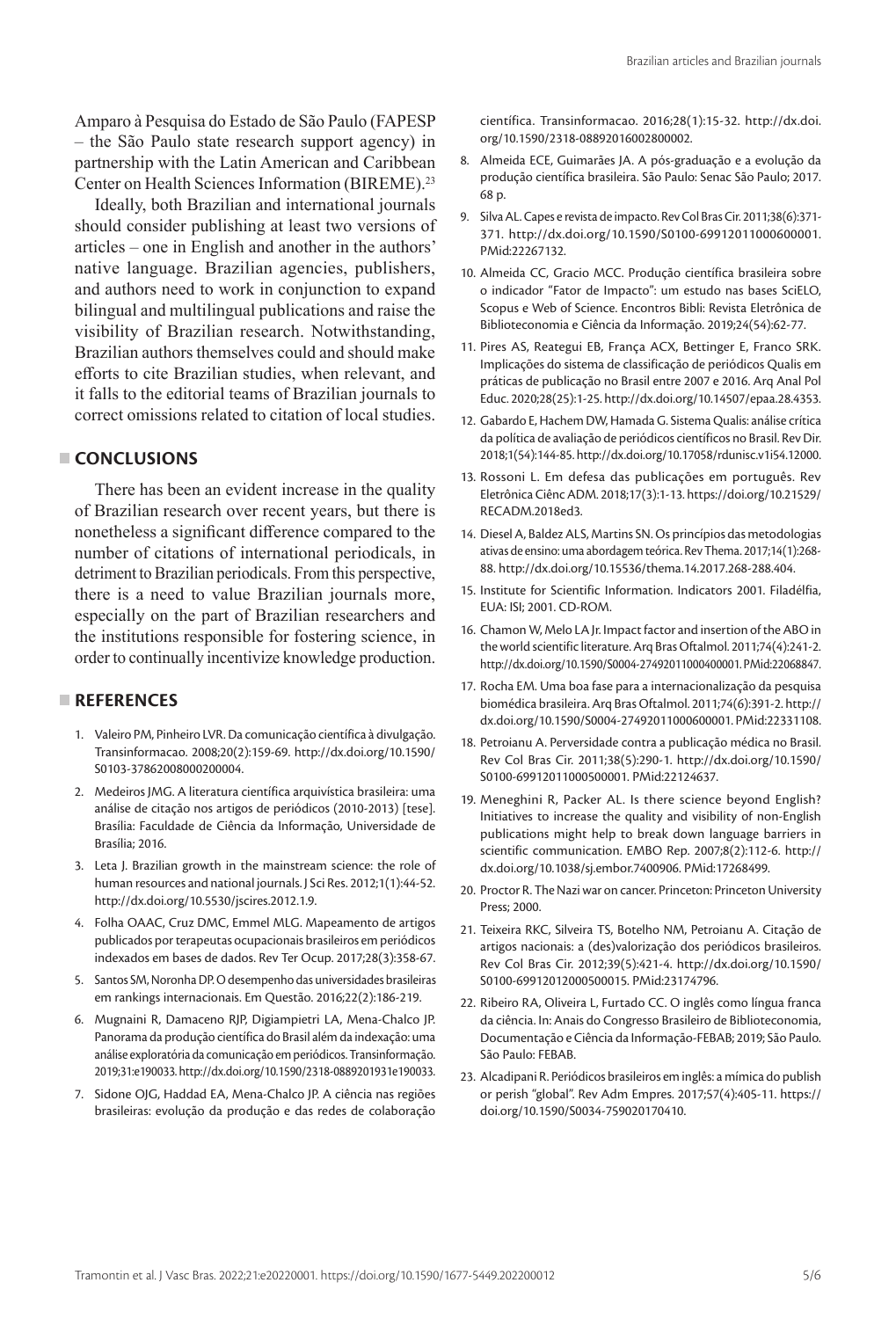Amparo à Pesquisa do Estado de São Paulo (FAPESP – the São Paulo state research support agency) in partnership with the Latin American and Caribbean Center on Health Sciences Information (BIREME).23

Ideally, both Brazilian and international journals should consider publishing at least two versions of articles – one in English and another in the authors' native language. Brazilian agencies, publishers, and authors need to work in conjunction to expand bilingual and multilingual publications and raise the visibility of Brazilian research. Notwithstanding, Brazilian authors themselves could and should make efforts to cite Brazilian studies, when relevant, and it falls to the editorial teams of Brazilian journals to correct omissions related to citation of local studies.

### **CONCLUSIONS**

There has been an evident increase in the quality of Brazilian research over recent years, but there is nonetheless a significant difference compared to the number of citations of international periodicals, in detriment to Brazilian periodicals. From this perspective, there is a need to value Brazilian journals more, especially on the part of Brazilian researchers and the institutions responsible for fostering science, in order to continually incentivize knowledge production.

# **REFERENCES**

- 1. Valeiro PM, Pinheiro LVR. Da comunicação científica à divulgação. Transinformacao. 2008;20(2):159-69. [http://dx.doi.org/10.1590/](https://doi.org/10.1590/S0103-37862008000200004) [S0103-37862008000200004](https://doi.org/10.1590/S0103-37862008000200004).
- 2. Medeiros JMG. A literatura científica arquivística brasileira: uma análise de citação nos artigos de periódicos (2010-2013) [tese]. Brasília: Faculdade de Ciência da Informação, Universidade de Brasília; 2016.
- 3. Leta J. Brazilian growth in the mainstream science: the role of human resources and national journals. J Sci Res. 2012;1(1):44-52. [http://dx.doi.org/10.5530/jscires.2012.1.9](https://doi.org/10.5530/jscires.2012.1.9).
- 4. Folha OAAC, Cruz DMC, Emmel MLG. Mapeamento de artigos publicados por terapeutas ocupacionais brasileiros em periódicos indexados em bases de dados. Rev Ter Ocup. 2017;28(3):358-67.
- 5. Santos SM, Noronha DP. O desempenho das universidades brasileiras em rankings internacionais. Em Questão. 2016;22(2):186-219.
- 6. Mugnaini R, Damaceno RJP, Digiampietri LA, Mena-Chalco JP. Panorama da produção científica do Brasil além da indexação: uma análise exploratória da comunicação em periódicos. Transinformação. 2019;31:e190033. http://dx.doi.org/10.1590/2318-0889201931e190033.
- 7. Sidone OJG, Haddad EA, Mena-Chalco JP. A ciência nas regiões brasileiras: evolução da produção e das redes de colaboração

científica. Transinformacao. 2016;28(1):15-32. [http://dx.doi.](https://doi.org/10.1590/2318-08892016002800002) [org/10.1590/2318-08892016002800002](https://doi.org/10.1590/2318-08892016002800002).

- 8. Almeida ECE, Guimarães JA. A pós-graduação e a evolução da produção científica brasileira. São Paulo: Senac São Paulo; 2017. 68 p.
- 9. Silva AL. Capes e revista de impacto. Rev Col Bras Cir. 2011;38(6):371- 371. [http://dx.doi.org/10.1590/S0100-69912011000600001](https://doi.org/10.1590/S0100-69912011000600001). [PMid:22267132.](https://www.ncbi.nlm.nih.gov/entrez/query.fcgi?cmd=Retrieve&db=PubMed&list_uids=22267132&dopt=Abstract)
- 10. Almeida CC, Gracio MCC. Produção científica brasileira sobre o indicador "Fator de Impacto": um estudo nas bases SciELO, Scopus e Web of Science. Encontros Bibli: Revista Eletrônica de Biblioteconomia e Ciência da Informação. 2019;24(54):62-77.
- 11. Pires AS, Reategui EB, França ACX, Bettinger E, Franco SRK. Implicações do sistema de classificação de periódicos Qualis em práticas de publicação no Brasil entre 2007 e 2016. Arq Anal Pol Educ. 2020;28(25):1-25. [http://dx.doi.org/10.14507/epaa.28.4353](https://doi.org/10.14507/epaa.28.4353).
- 12. Gabardo E, Hachem DW, Hamada G. Sistema Qualis: análise crítica da política de avaliação de periódicos científicos no Brasil. Rev Dir. 2018;1(54):144-85. [http://dx.doi.org/10.17058/rdunisc.v1i54.12000](https://doi.org/10.17058/rdunisc.v1i54.12000).
- 13. Rossoni L. Em defesa das publicações em português. Rev Eletrônica Ciênc ADM. 2018;17(3):1-13. [https://doi.org/10.21529/](https://doi.org/10.21529/RECADM.2018ed3) [RECADM.2018ed3](https://doi.org/10.21529/RECADM.2018ed3).
- 14. Diesel A, Baldez ALS, Martins SN. Os princípios das metodologias ativas de ensino: uma abordagem teórica. Rev Thema. 2017;14(1):268- 88. [http://dx.doi.org/10.15536/thema.14.2017.268-288.404.](https://doi.org/10.15536/thema.14.2017.268-288.404)
- 15. Institute for Scientific Information. Indicators 2001. Filadélfia, EUA: ISI; 2001. CD-ROM.
- 16. Chamon W, Melo LA Jr. Impact factor and insertion of the ABO in the world scientific literature. Arq Bras Oftalmol. 2011;74(4):241-2. [http://dx.doi.org/10.1590/S0004-27492011000400001](https://doi.org/10.1590/S0004-27492011000400001)[. PMid:22068847.](https://www.ncbi.nlm.nih.gov/entrez/query.fcgi?cmd=Retrieve&db=PubMed&list_uids=22068847&dopt=Abstract)
- 17. Rocha EM. Uma boa fase para a internacionalização da pesquisa biomédica brasileira. Arq Bras Oftalmol. 2011;74(6):391-2. [http://](https://doi.org/10.1590/S0004-27492011000600001) [dx.doi.org/10.1590/S0004-27492011000600001](https://doi.org/10.1590/S0004-27492011000600001). [PMid:22331108.](https://www.ncbi.nlm.nih.gov/entrez/query.fcgi?cmd=Retrieve&db=PubMed&list_uids=22331108&dopt=Abstract)
- 18. Petroianu A. Perversidade contra a publicação médica no Brasil. Rev Col Bras Cir. 2011;38(5):290-1. [http://dx.doi.org/10.1590/](https://doi.org/10.1590/S0100-69912011000500001) [S0100-69912011000500001](https://doi.org/10.1590/S0100-69912011000500001). [PMid:22124637.](https://www.ncbi.nlm.nih.gov/entrez/query.fcgi?cmd=Retrieve&db=PubMed&list_uids=22124637&dopt=Abstract)
- 19. Meneghini R, Packer AL. Is there science beyond English? Initiatives to increase the quality and visibility of non‐English publications might help to break down language barriers in scientific communication. EMBO Rep. 2007;8(2):112-6. [http://](https://doi.org/10.1038/sj.embor.7400906) [dx.doi.org/10.1038/sj.embor.7400906.](https://doi.org/10.1038/sj.embor.7400906) [PMid:17268499.](https://www.ncbi.nlm.nih.gov/entrez/query.fcgi?cmd=Retrieve&db=PubMed&list_uids=17268499&dopt=Abstract)
- 20. Proctor R. The Nazi war on cancer. Princeton: Princeton University Press; 2000.
- 21. Teixeira RKC, Silveira TS, Botelho NM, Petroianu A. Citação de artigos nacionais: a (des)valorização dos periódicos brasileiros. Rev Col Bras Cir. 2012;39(5):421-4. [http://dx.doi.org/10.1590/](https://doi.org/10.1590/S0100-69912012000500015) [S0100-69912012000500015](https://doi.org/10.1590/S0100-69912012000500015). [PMid:23174796.](https://www.ncbi.nlm.nih.gov/entrez/query.fcgi?cmd=Retrieve&db=PubMed&list_uids=23174796&dopt=Abstract)
- 22. Ribeiro RA, Oliveira L, Furtado CC. O inglês como língua franca da ciência. In: Anais do Congresso Brasileiro de Biblioteconomia, Documentação e Ciência da Informação-FEBAB; 2019; São Paulo. São Paulo: FEBAB.
- 23. Alcadipani R. Periódicos brasileiros em inglês: a mímica do publish or perish "global". Rev Adm Empres. 2017;57(4):405-11. https:// doi.org/10.1590/S0034-759020170410.